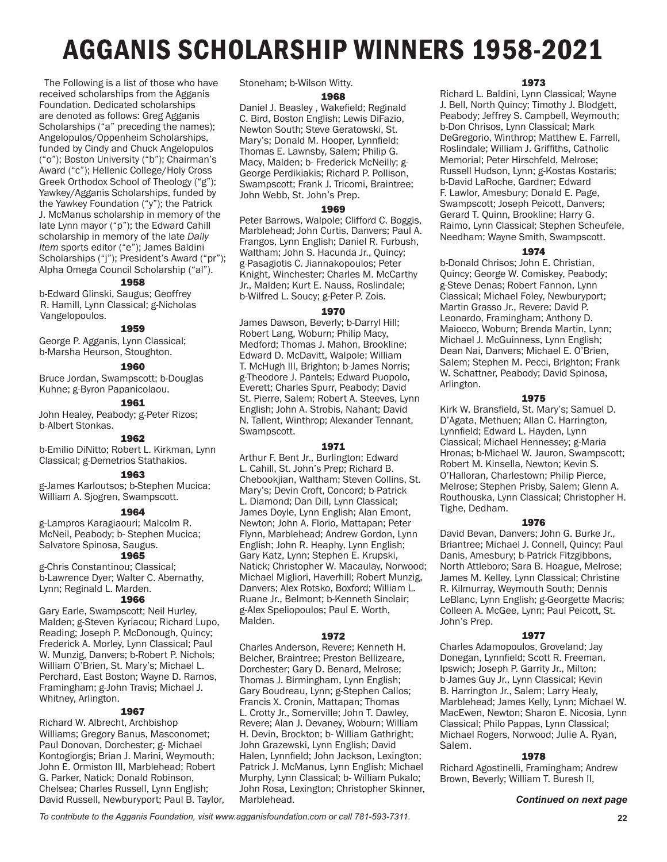# AGGANIS SCHOLARSHIP WINNERS 1958-2021

 The Following is a list of those who have received scholarships from the Agganis Foundation. Dedicated scholarships are denoted as follows: Greg Agganis Scholarships ("a" preceding the names); Angelopulos/Oppenheim Scholarships, funded by Cindy and Chuck Angelopulos ("o"); Boston University ("b"); Chairman's Award ("c"); Hellenic College/Holy Cross Greek Orthodox School of Theology ("g"); Yawkey/Agganis Scholarships, funded by the Yawkey Foundation ("y"); the Patrick J. McManus scholarship in memory of the late Lynn mayor ("p"); the Edward Cahill scholarship in memory of the late *Daily Item* sports editor ("e"); James Baldini Scholarships ("j"); President's Award ("pr"); Alpha Omega Council Scholarship ("al").

### 1958

b-Edward Glinski, Saugus; Geoffrey R. Hamill, Lynn Classical; g-Nicholas Vangelopoulos.

# 1959

George P. Agganis, Lynn Classical; b-Marsha Heurson, Stoughton.

#### 1960

Bruce Jordan, Swampscott; b-Douglas Kuhne; g-Byron Papanicolaou.

### 1961

John Healey, Peabody; g-Peter Rizos; b-Albert Stonkas.

# 1962

b-Emilio DiNitto; Robert L. Kirkman, Lynn Classical; g-Demetrios Stathakios.

# 1963

g-James Karloutsos; b-Stephen Mucica; William A. Sjogren, Swampscott.

### 1964

g-Lampros Karagiaouri; Malcolm R. McNeil, Peabody; b- Stephen Mucica; Salvatore Spinosa, Saugus.

# 1965

g-Chris Constantinou; Classical; b-Lawrence Dyer; Walter C. Abernathy, Lynn; Reginald L. Marden.

#### 1966

Gary Earle, Swampscott; Neil Hurley, Malden; g-Steven Kyriacou; Richard Lupo, Reading; Joseph P. McDonough, Quincy; Frederick A. Morley, Lynn Classical; Paul W. Munzig, Danvers; b-Robert P. Nichols; William O'Brien, St. Mary's; Michael L. Perchard, East Boston; Wayne D. Ramos, Framingham; g-John Travis; Michael J. Whitney, Arlington.

#### 1967

Richard W. Albrecht, Archbishop Williams; Gregory Banus, Masconomet; Paul Donovan, Dorchester; g- Michael Kontogiorgis; Brian J. Marini, Weymouth; John E. Ormiston III, Marblehead; Robert G. Parker, Natick; Donald Robinson, Chelsea; Charles Russell, Lynn English; David Russell, Newburyport; Paul B. Taylor, Stoneham; b-Wilson Witty.

#### 1968

Daniel J. Beasley , Wakefield; Reginald C. Bird, Boston English; Lewis DiFazio, Newton South; Steve Geratowski, St. Mary's; Donald M. Hooper, Lynnfield; Thomas E. Lawnsby, Salem; Philip G. Macy, Malden; b- Frederick McNeilly; g-George Perdikiakis; Richard P. Pollison, Swampscott; Frank J. Tricomi, Braintree; John Webb, St. John's Prep.

#### 1969

Peter Barrows, Walpole; Clifford C. Boggis, Marblehead; John Curtis, Danvers; Paul A. Frangos, Lynn English; Daniel R. Furbush, Waltham; John S. Hacunda Jr., Quincy; g-Pasagiotis C. Jiannakopoulos; Peter Knight, Winchester; Charles M. McCarthy Jr., Malden; Kurt E. Nauss, Roslindale; b-Wilfred L. Soucy; g-Peter P. Zois.

#### 1970

James Dawson, Beverly; b-Darryl Hill; Robert Lang, Woburn; Philip Macy, Medford; Thomas J. Mahon, Brookline; Edward D. McDavitt, Walpole; William T. McHugh III, Brighton; b-James Norris; g-Theodore J. Pantels; Edward Puopolo, Everett; Charles Spurr, Peabody; David St. Pierre, Salem; Robert A. Steeves, Lynn English; John A. Strobis, Nahant; David N. Tallent, Winthrop; Alexander Tennant, Swampscott.

# 1971

Arthur F. Bent Jr., Burlington; Edward L. Cahill, St. John's Prep; Richard B. Chebookjian, Waltham; Steven Collins, St. Mary's; Devin Croft, Concord; b-Patrick L. Diamond; Dan Dill, Lynn Classical; James Doyle, Lynn English; Alan Emont, Newton; John A. Florio, Mattapan; Peter Flynn, Marblehead; Andrew Gordon, Lynn English; John R. Heaphy, Lynn English; Gary Katz, Lynn; Stephen E. Krupski, Natick; Christopher W. Macaulay, Norwood; Michael Migliori, Haverhill; Robert Munzig, Danvers; Alex Rotsko, Boxford; William L. Ruane Jr., Belmont; b-Kenneth Sinclair; g-Alex Speliopoulos; Paul E. Worth, Malden.

#### 1972

Charles Anderson, Revere; Kenneth H. Belcher, Braintree; Preston Bellizeare, Dorchester; Gary D. Benard, Melrose; Thomas J. Birmingham, Lynn English; Gary Boudreau, Lynn; g-Stephen Callos; Francis X. Cronin, Mattapan; Thomas L. Crotty Jr., Somerville; John T. Dawley, Revere; Alan J. Devaney, Woburn; William H. Devin, Brockton; b- William Gathright; John Grazewski, Lynn English; David Halen, Lynnfield; John Jackson, Lexington; Patrick J. McManus, Lynn English; Michael Murphy, Lynn Classical; b- William Pukalo; John Rosa, Lexington; Christopher Skinner, Marblehead.

#### 1973

Richard L. Baldini, Lynn Classical; Wayne J. Bell, North Quincy; Timothy J. Blodgett, Peabody; Jeffrey S. Campbell, Weymouth; b-Don Chrisos, Lynn Classical; Mark DeGregorio, Winthrop; Matthew E. Farrell, Roslindale; William J. Griffiths, Catholic Memorial; Peter Hirschfeld, Melrose; Russell Hudson, Lynn; g-Kostas Kostaris; b-David LaRoche, Gardner; Edward F. Lawlor, Amesbury; Donald E. Page, Swampscott; Joseph Peicott, Danvers; Gerard T. Quinn, Brookline; Harry G. Raimo, Lynn Classical; Stephen Scheufele, Needham; Wayne Smith, Swampscott.

# 1974

b-Donald Chrisos; John E. Christian, Quincy; George W. Comiskey, Peabody; g-Steve Denas; Robert Fannon, Lynn Classical; Michael Foley, Newburyport; Martin Grasso Jr., Revere; David P. Leonardo, Framingham; Anthony D. Maiocco, Woburn; Brenda Martin, Lynn; Michael J. McGuinness, Lynn English; Dean Nai, Danvers; Michael E. O'Brien, Salem; Stephen M. Pecci, Brighton; Frank W. Schattner, Peabody; David Spinosa, Arlington.

#### 1975

Kirk W. Bransfield, St. Mary's; Samuel D. D'Agata, Methuen; Allan C. Harrington, Lynnfield; Edward L. Hayden, Lynn Classical; Michael Hennessey; g-Maria Hronas; b-Michael W. Jauron, Swampscott; Robert M. Kinsella, Newton; Kevin S. O'Halloran, Charlestown; Philip Pierce, Melrose; Stephen Prisby, Salem; Glenn A. Routhouska, Lynn Classical; Christopher H. Tighe, Dedham.

#### 1976

David Bevan, Danvers; John G. Burke Jr., Briantree; Michael J. Connell, Quincy; Paul Danis, Amesbury; b-Patrick Fitzgibbons, North Attleboro; Sara B. Hoague, Melrose; James M. Kelley, Lynn Classical; Christine R. Kilmurray, Weymouth South; Dennis LeBlanc, Lynn English; g-Georgette Macris; Colleen A. McGee, Lynn; Paul Peicott, St. John's Prep.

#### 1977

Charles Adamopoulos, Groveland; Jay Donegan, Lynnfield; Scott R. Freeman, Ipswich; Joseph P. Garrity Jr., Milton; b-James Guy Jr., Lynn Classical; Kevin B. Harrington Jr., Salem; Larry Healy, Marblehead; James Kelly, Lynn; Michael W. MacEwen, Newton; Sharon E. Nicosia, Lynn Classical; Philo Pappas, Lynn Classical; Michael Rogers, Norwood; Julie A. Ryan, Salem.

# 1978

Richard Agostinelli, Framingham; Andrew Brown, Beverly; William T. Buresh II,

#### *Continued on next page*

*To contribute to the Agganis Foundation, visit www.agganisfoundation.com or call 781-593-7311*. **22**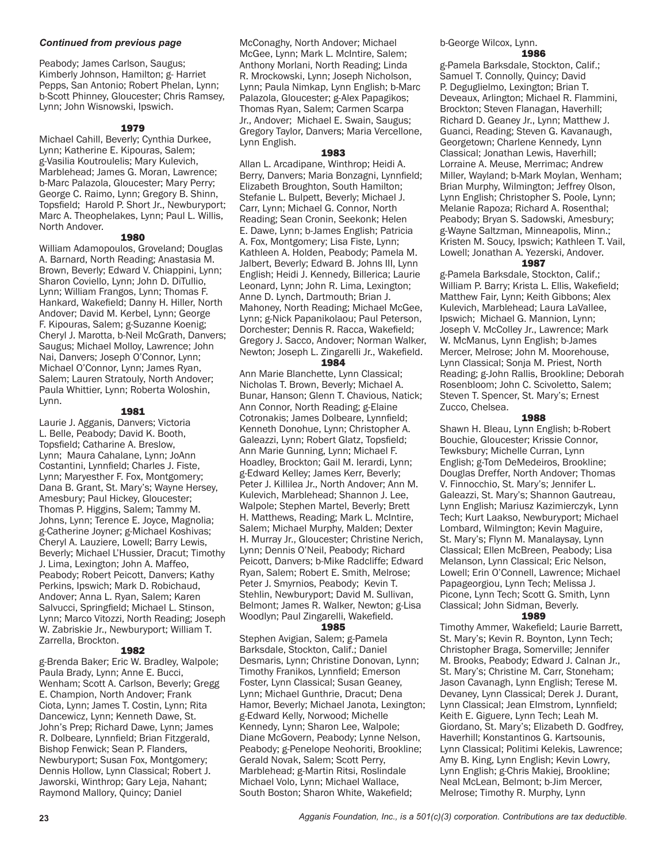# *Continued from previous page*

Peabody; James Carlson, Saugus; Kimberly Johnson, Hamilton; g- Harriet Pepps, San Antonio; Robert Phelan, Lynn; b-Scott Phinney, Gloucester; Chris Ramsey, Lynn; John Wisnowski, Ipswich.

# 1979

Michael Cahill, Beverly; Cynthia Durkee, Lynn; Katherine E. Kipouras, Salem; g-Vasilia Koutroulelis; Mary Kulevich, Marblehead; James G. Moran, Lawrence; b-Marc Palazola, Gloucester; Mary Perry; George C. Raimo, Lynn; Gregory B. Shinn, Topsfield; Harold P. Short Jr., Newburyport; Marc A. Theophelakes, Lynn; Paul L. Willis, North Andover.

# 1980

William Adamopoulos, Groveland; Douglas A. Barnard, North Reading; Anastasia M. Brown, Beverly; Edward V. Chiappini, Lynn; Sharon Coviello, Lynn; John D. DiTullio, Lynn; William Frangos, Lynn; Thomas F. Hankard, Wakefield; Danny H. Hiller, North Andover; David M. Kerbel, Lynn; George F. Kipouras, Salem; g-Suzanne Koenig; Cheryl J. Marotta, b-Neil McGrath, Danvers; Saugus; Michael Molloy, Lawrence; John Nai, Danvers; Joseph O'Connor, Lynn; Michael O'Connor, Lynn; James Ryan, Salem; Lauren Stratouly, North Andover; Paula Whittier, Lynn; Roberta Woloshin, Lynn.

# 1981

Laurie J. Agganis, Danvers; Victoria L. Belle, Peabody; David K. Booth, Topsfield; Catharine A. Breslow, Lynn; Maura Cahalane, Lynn; JoAnn Costantini, Lynnfield; Charles J. Fiste, Lynn; Maryesther F. Fox, Montgomery; Dana B. Grant, St. Mary's; Wayne Hersey, Amesbury; Paul Hickey, Gloucester; Thomas P. Higgins, Salem; Tammy M. Johns, Lynn; Terence E. Joyce, Magnolia; g-Catherine Joyner; g-Michael Koshivas; Cheryl A. Lauziere, Lowell; Barry Lewis, Beverly; Michael L'Hussier, Dracut; Timothy J. Lima, Lexington; John A. Maffeo, Peabody; Robert Peicott, Danvers; Kathy Perkins, Ipswich; Mark D. Robichaud, Andover; Anna L. Ryan, Salem; Karen Salvucci, Springfield; Michael L. Stinson, Lynn; Marco Vitozzi, North Reading; Joseph W. Zabriskie Jr., Newburyport; William T. Zarrella, Brockton.

# 1982

g-Brenda Baker; Eric W. Bradley, Walpole; Paula Brady, Lynn; Anne E. Bucci, Wenham; Scott A. Carlson, Beverly; Gregg E. Champion, North Andover; Frank Ciota, Lynn; James T. Costin, Lynn; Rita Dancewicz, Lynn; Kenneth Dawe, St. John's Prep; Richard Dawe, Lynn; James R. Dolbeare, Lynnfield; Brian Fitzgerald, Bishop Fenwick; Sean P. Flanders, Newburyport; Susan Fox, Montgomery; Dennis Hollow, Lynn Classical; Robert J. Jaworski, Winthrop; Gary Leja, Nahant; Raymond Mallory, Quincy; Daniel

McConaghy, North Andover; Michael McGee, Lynn; Mark L. McIntire, Salem; Anthony Morlani, North Reading; Linda R. Mrockowski, Lynn; Joseph Nicholson, Lynn; Paula Nimkap, Lynn English; b-Marc Palazola, Gloucester; g-Alex Papagikos; Thomas Ryan, Salem; Carmen Scarpa Jr., Andover; Michael E. Swain, Saugus; Gregory Taylor, Danvers; Maria Vercellone, Lynn English.

#### 1983

Allan L. Arcadipane, Winthrop; Heidi A. Berry, Danvers; Maria Bonzagni, Lynnfield; Elizabeth Broughton, South Hamilton; Stefanie L. Bulpett, Beverly; Michael J. Carr, Lynn; Michael G. Connor, North Reading; Sean Cronin, Seekonk; Helen E. Dawe, Lynn; b-James English; Patricia A. Fox, Montgomery; Lisa Fiste, Lynn; Kathleen A. Holden, Peabody; Pamela M. Jalbert, Beverly; Edward B. Johns III, Lynn English; Heidi J. Kennedy, Billerica; Laurie Leonard, Lynn; John R. Lima, Lexington; Anne D. Lynch, Dartmouth; Brian J. Mahoney, North Reading; Michael McGee, Lynn; g-Nick Papanikolaou; Paul Peterson, Dorchester; Dennis R. Racca, Wakefield; Gregory J. Sacco, Andover; Norman Walker, Newton; Joseph L. Zingarelli Jr., Wakefield.

#### 1984

Ann Marie Blanchette, Lynn Classical; Nicholas T. Brown, Beverly; Michael A. Bunar, Hanson; Glenn T. Chavious, Natick; Ann Connor, North Reading; g-Elaine Cotronakis; James Dolbeare, Lynnfield; Kenneth Donohue, Lynn; Christopher A. Galeazzi, Lynn; Robert Glatz, Topsfield; Ann Marie Gunning, Lynn; Michael F. Hoadley, Brockton; Gail M. Ierardi, Lynn; g-Edward Kelley; James Kerr, Beverly; Peter J. Killilea Jr., North Andover; Ann M. Kulevich, Marblehead; Shannon J. Lee, Walpole; Stephen Martel, Beverly; Brett H. Matthews, Reading; Mark L. McIntire, Salem; Michael Murphy, Malden; Dexter H. Murray Jr., Gloucester; Christine Nerich, Lynn; Dennis O'Neil, Peabody; Richard Peicott, Danvers; b-Mike Radcliffe; Edward Ryan, Salem; Robert E. Smith, Melrose; Peter J. Smyrnios, Peabody; Kevin T. Stehlin, Newburyport; David M. Sullivan, Belmont; James R. Walker, Newton; g-Lisa Woodlyn; Paul Zingarelli, Wakefield.

# 1985

Stephen Avigian, Salem; g-Pamela Barksdale, Stockton, Calif.; Daniel Desmaris, Lynn; Christine Donovan, Lynn; Timothy Franikos, Lynnfield; Emerson Foster, Lynn Classical; Susan Geaney, Lynn; Michael Gunthrie, Dracut; Dena Hamor, Beverly; Michael Janota, Lexington; g-Edward Kelly, Norwood; Michelle Kennedy, Lynn; Sharon Lee, Walpole; Diane McGovern, Peabody; Lynne Nelson, Peabody; g-Penelope Neohoriti, Brookline; Gerald Novak, Salem; Scott Perry, Marblehead; g-Martin Ritsi, Roslindale Michael Volo, Lynn; Michael Wallace, South Boston; Sharon White, Wakefield;

b-George Wilcox, Lynn.

# 1986

g-Pamela Barksdale, Stockton, Calif.; Samuel T. Connolly, Quincy; David P. Deguglielmo, Lexington; Brian T. Deveaux, Arlington; Michael R. Flammini, Brockton; Steven Flanagan, Haverhill; Richard D. Geaney Jr., Lynn; Matthew J. Guanci, Reading; Steven G. Kavanaugh, Georgetown; Charlene Kennedy, Lynn Classical; Jonathan Lewis, Haverhill; Lorraine A. Meuse, Merrimac; Andrew Miller, Wayland; b-Mark Moylan, Wenham; Brian Murphy, Wilmington; Jeffrey Olson, Lynn English; Christopher S. Poole, Lynn; Melanie Rapoza; Richard A. Rosenthal; Peabody; Bryan S. Sadowski, Amesbury; g-Wayne Saltzman, Minneapolis, Minn.; Kristen M. Soucy, Ipswich; Kathleen T. Vail, Lowell; Jonathan A. Yezerski, Andover.

#### 1987

g-Pamela Barksdale, Stockton, Calif.; William P. Barry; Krista L. Ellis, Wakefield; Matthew Fair, Lynn; Keith Gibbons; Alex Kulevich, Marblehead; Laura LaVallee, Ipswich; Michael G. Mannion, Lynn; Joseph V. McColley Jr., Lawrence; Mark W. McManus, Lynn English; b-James Mercer, Melrose; John M. Moorehouse, Lynn Classical; Sonja M. Priest, North Reading; g-John Rallis, Brookline; Deborah Rosenbloom; John C. Scivoletto, Salem; Steven T. Spencer, St. Mary's; Ernest Zucco, Chelsea.

#### 1988

Shawn H. Bleau, Lynn English; b-Robert Bouchie, Gloucester; Krissie Connor, Tewksbury; Michelle Curran, Lynn English; g-Tom DeMedeiros, Brookline; Douglas Dreffer, North Andover; Thomas V. Finnocchio, St. Mary's; Jennifer L. Galeazzi, St. Mary's; Shannon Gautreau, Lynn English; Mariusz Kazimierczyk, Lynn Tech; Kurt Laakso, Newburyport; Michael Lombard, Wilmington; Kevin Maguire, St. Mary's; Flynn M. Manalaysay, Lynn Classical; Ellen McBreen, Peabody; Lisa Melanson, Lynn Classical; Eric Nelson, Lowell; Erin O'Connell, Lawrence; Michael Papageorgiou, Lynn Tech; Melissa J. Picone, Lynn Tech; Scott G. Smith, Lynn Classical; John Sidman, Beverly.

#### 1989

Timothy Ammer, Wakefield; Laurie Barrett, St. Mary's; Kevin R. Boynton, Lynn Tech; Christopher Braga, Somerville; Jennifer M. Brooks, Peabody; Edward J. Calnan Jr., St. Mary's; Christine M. Carr, Stoneham; Jason Cavanagh, Lynn English; Terese M. Devaney, Lynn Classical; Derek J. Durant, Lynn Classical; Jean EImstrom, Lynnfield; Keith E. Giguere, Lynn Tech; Leah M. Giordano, St. Mary's; Elizabeth D. Godfrey, Haverhill; Konstantinos G. Kartsounis, Lynn Classical; Politimi Kelekis, Lawrence; Amy B. King, Lynn English; Kevin Lowry, Lynn English; g-Chris Makiej, Brookline; Neal McLean, Belmont; b-Jim Mercer, Melrose; Timothy R. Murphy, Lynn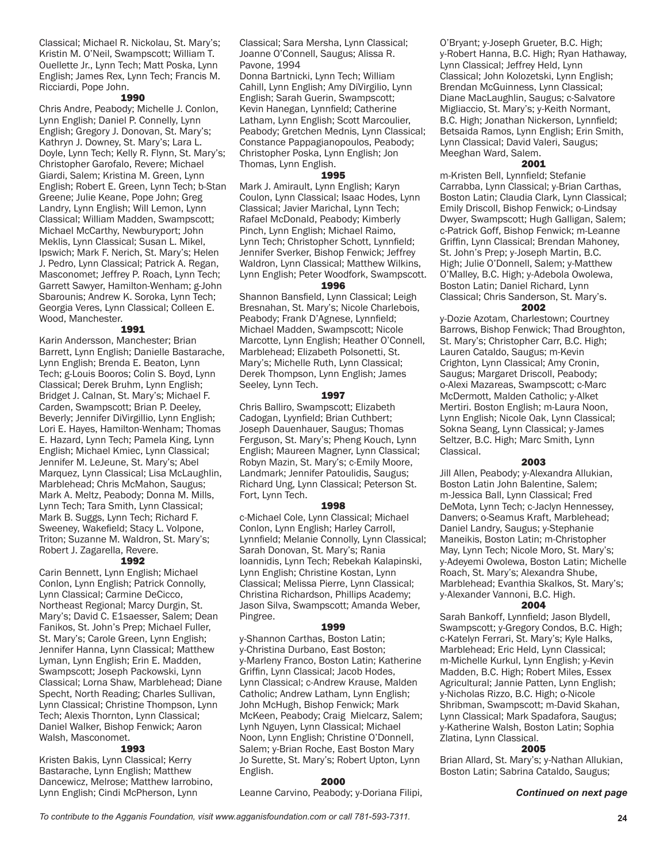Classical; Michael R. Nickolau, St. Mary's; Kristin M. O'Neil, Swampscott; William T. Ouellette Jr., Lynn Tech; Matt Poska, Lynn English; James Rex, Lynn Tech; Francis M. Ricciardi, Pope John.

#### 1990

Chris Andre, Peabody; Michelle J. Conlon, Lynn English; Daniel P. Connelly, Lynn English; Gregory J. Donovan, St. Mary's; Kathryn J. Downey, St. Mary's; Lara L. Doyle, Lynn Tech; Kelly R. Flynn, St. Mary's; Christopher Garofalo, Revere; Michael Giardi, Salem; Kristina M. Green, Lynn English; Robert E. Green, Lynn Tech; b-Stan Greene; Julie Keane, Pope John; Greg Landry, Lynn English; Will Lemon, Lynn Classical; William Madden, Swampscott; Michael McCarthy, Newburyport; John Meklis, Lynn Classical; Susan L. Mikel, Ipswich; Mark F. Nerich, St. Mary's; Helen J. Pedro, Lynn Classical; Patrick A. Regan, Masconomet; Jeffrey P. Roach, Lynn Tech; Garrett Sawyer, Hamilton-Wenham; g-John Sbarounis; Andrew K. Soroka, Lynn Tech; Georgia Veres, Lynn Classical; Colleen E. Wood, Manchester.

# 1991

Karin Andersson, Manchester; Brian Barrett, Lynn English; Danielle Bastarache, Lynn English; Brenda E. Beaton, Lynn Tech; g-Louis Booros; Colin S. Boyd, Lynn Classical; Derek Bruhm, Lynn English; Bridget J. Calnan, St. Mary's; Michael F. Carden, Swampscott; Brian P. Deeley, Beverly; Jennifer DiVirgillio, Lynn English; Lori E. Hayes, Hamilton-Wenham; Thomas E. Hazard, Lynn Tech; Pamela King, Lynn English; Michael Kmiec, Lynn Classical; Jennifer M. LeJeune, St. Mary's; Abel Marquez, Lynn Classical; Lisa McLaughlin, Marblehead; Chris McMahon, Saugus; Mark A. Meltz, Peabody; Donna M. Mills, Lynn Tech; Tara Smith, Lynn Classical; Mark B. Suggs, Lynn Tech; Richard F. Sweeney, Wakefield; Stacy L. Volpone, Triton; Suzanne M. Waldron, St. Mary's; Robert J. Zagarella, Revere.

# 1992

Carin Bennett, Lynn English; Michael Conlon, Lynn English; Patrick Connolly, Lynn Classical; Carmine DeCicco, Northeast Regional; Marcy Durgin, St. Mary's; David C. E1saesser, Salem; Dean Fanikos, St. John's Prep; Michael Fuller, St. Mary's; Carole Green, Lynn English; Jennifer Hanna, Lynn Classical; Matthew Lyman, Lynn English; Erin E. Madden, Swampscott; Joseph Packowski, Lynn Classical; Lorna Shaw, Marblehead; Diane Specht, North Reading; Charles Sullivan, Lynn Classical; Christine Thompson, Lynn Tech; Alexis Thornton, Lynn Classical; Daniel Walker, Bishop Fenwick; Aaron Walsh, Masconomet.

#### 1993

Kristen Bakis, Lynn Classical; Kerry Bastarache, Lynn English; Matthew Dancewicz, Melrose; Matthew Iarrobino, Lynn English; Cindi McPherson, Lynn

Classical; Sara Mersha, Lynn Classical; Joanne O'Connell, Saugus; Alissa R. Pavone, 1994

Donna Bartnicki, Lynn Tech; William Cahill, Lynn English; Amy DiVirgilio, Lynn English; Sarah Guerin, Swampscott; Kevin Hanegan, Lynnfield; Catherine Latham, Lynn English; Scott Marcoulier, Peabody; Gretchen Mednis, Lynn Classical; Constance Pappagianopoulos, Peabody; Christopher Poska, Lynn English; Jon Thomas, Lynn English.

### 1995

Mark J. Amirault, Lynn English; Karyn Coulon, Lynn Classical; Isaac Hodes, Lynn Classical; Javier Marichal, Lynn Tech; Rafael McDonald, Peabody; Kimberly Pinch, Lynn English; Michael Raimo, Lynn Tech; Christopher Schott, Lynnfield; Jennifer Sverker, Bishop Fenwick; Jeffrey Waldron, Lynn Classical; Matthew Wilkins, Lynn English; Peter Woodfork, Swampscott.

# 1996

Shannon Bansfield, Lynn Classical; Leigh Bresnahan, St. Mary's; Nicole Charlebois, Peabody; Frank D'Agnese, Lynnfield; Michael Madden, Swampscott; Nicole Marcotte, Lynn English; Heather O'Connell, Marblehead; Elizabeth Polsonetti, St. Mary's; Michelle Ruth, Lynn Classical; Derek Thompson, Lynn English; James Seeley, Lynn Tech.

# 1997

Chris Balliro, Swampscott; Elizabeth Cadogan, Lyynfield; Brian Cuthbert; Joseph Dauenhauer, Saugus; Thomas Ferguson, St. Mary's; Pheng Kouch, Lynn English; Maureen Magner, Lynn Classical; Robyn Mazin, St. Mary's; c-Emily Moore, Landmark; Jennifer Patoulidis, Saugus; Richard Ung, Lynn Classical; Peterson St. Fort, Lynn Tech.

#### 1998

c-Michael Cole, Lynn Classical; Michael Conlon, Lynn English; Harley Carroll, Lynnfield; Melanie Connolly, Lynn Classical; Sarah Donovan, St. Mary's; Rania Ioannidis, Lynn Tech; Rebekah Kalapinski, Lynn English; Christine Kostan, Lynn Classical; Melissa Pierre, Lynn Classical; Christina Richardson, Phillips Academy; Jason Silva, Swampscott; Amanda Weber, Pingree.

# 1999

y-Shannon Carthas, Boston Latin; y-Christina Durbano, East Boston; y-Marleny Franco, Boston Latin; Katherine Griffin, Lynn Classical; Jacob Hodes, Lynn Classical; c-Andrew Krause, Malden Catholic; Andrew Latham, Lynn English; John McHugh, Bishop Fenwick; Mark McKeen, Peabody; Craig Mielcarz, Salem; Lynh Nguyen, Lynn Classical; Michael Noon, Lynn English; Christine O'Donnell, Salem; y-Brian Roche, East Boston Mary Jo Surette, St. Mary's; Robert Upton, Lynn English.

#### 2000

Leanne Carvino, Peabody; y-Doriana Filipi,

O'Bryant; y-Joseph Grueter, B.C. High; y-Robert Hanna, B.C. High; Ryan Hathaway, Lynn Classical; Jeffrey Held, Lynn Classical; John Kolozetski, Lynn English; Brendan McGuinness, Lynn Classical; Diane MacLaughlin, Saugus; c-Salvatore Migliaccio, St. Mary's; y-Keith Normant, B.C. High; Jonathan Nickerson, Lynnfield; Betsaida Ramos, Lynn English; Erin Smith, Lynn Classical; David Valeri, Saugus; Meeghan Ward, Salem.

# 2001

m-Kristen Bell, Lynnfield; Stefanie Carrabba, Lynn Classical; y-Brian Carthas, Boston Latin; Claudia Clark, Lynn Classical; Emily Driscoll, Bishop Fenwick; o-Lindsay Dwyer, Swampscott; Hugh Galligan, Salem; c-Patrick Goff, Bishop Fenwick; m-Leanne Griffin, Lynn Classical; Brendan Mahoney, St. John's Prep; y-Joseph Martin, B.C. High; Julie O'Donnell, Salem; y-Matthew O'Malley, B.C. High; y-Adebola Owolewa, Boston Latin; Daniel Richard, Lynn Classical; Chris Sanderson, St. Mary's.

# 2002

y-Dozie Azotam, Charlestown; Courtney Barrows, Bishop Fenwick; Thad Broughton, St. Mary's; Christopher Carr, B.C. High; Lauren Cataldo, Saugus; m-Kevin Crighton, Lynn Classical; Amy Cronin, Saugus; Margaret Driscoll, Peabody; o-Alexi Mazareas, Swampscott; c-Marc McDermott, Malden Catholic; y-Alket Mertiri. Boston English; m-Laura Noon, Lynn English; Nicole Oak, Lynn Classical; Sokna Seang, Lynn Classical; y-James Seltzer, B.C. High; Marc Smith, Lynn Classical.

# 2003

Jill Allen, Peabody; y-Alexandra Allukian, Boston Latin John Balentine, Salem; m-Jessica Ball, Lynn Classical; Fred DeMota, Lynn Tech; c-Jaclyn Hennessey, Danvers; o-Seamus Kraft, Marblehead; Daniel Landry, Saugus; y-Stephanie Maneikis, Boston Latin; m-Christopher May, Lynn Tech; Nicole Moro, St. Mary's; y-Adeyemi Owolewa, Boston Latin; Michelle Roach, St. Mary's; Alexandra Shube, Marblehead; Evanthia Skalkos, St. Mary's; y-Alexander Vannoni, B.C. High.

#### 2004

Sarah Bankoff, Lynnfield; Jason Blydell, Swampscott; y-Gregory Condos, B.C. High; c-Katelyn Ferrari, St. Mary's; Kyle Halks, Marblehead; Eric Held, Lynn Classical; m-Michelle Kurkul, Lynn English; y-Kevin Madden, B.C. High; Robert Miles, Essex Agricultural; Jannie Patten, Lynn English; y-Nicholas Rizzo, B.C. High; o-Nicole Shribman, Swampscott; m-David Skahan, Lynn Classical; Mark Spadafora, Saugus; y-Katherine Walsh, Boston Latin; Sophia Zlatina, Lynn Classical.

# 2005

Brian Allard, St. Mary's; y-Nathan Allukian, Boston Latin; Sabrina Cataldo, Saugus;

#### *Continued on next page*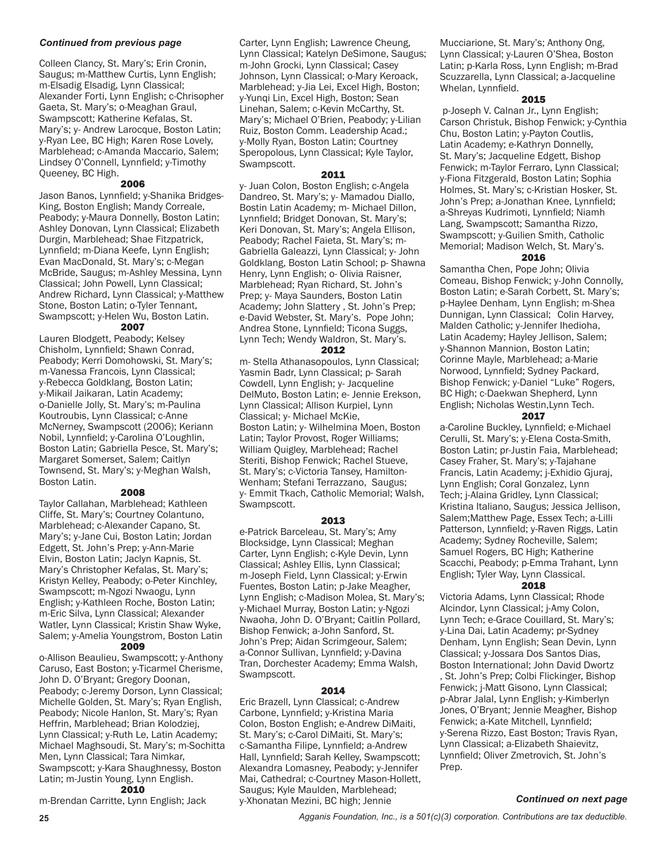# *Continued from previous page*

Colleen Clancy, St. Mary's; Erin Cronin, Saugus; m-Matthew Curtis, Lynn English; m-Elsadig Elsadig, Lynn Classical; Alexander Forti, Lynn English; c-Chrisopher Gaeta, St. Mary's; o-Meaghan Graul, Swampscott; Katherine Kefalas, St. Mary's; y- Andrew Larocque, Boston Latin; y-Ryan Lee, BC High; Karen Rose Lovely, Marblehead; c-Amanda Maccario, Salem; Lindsey O'Connell, Lynnfield; y-Timothy Queeney, BC High.

### 2006

Jason Banos, Lynnfield; y-Shanika Bridges-King, Boston English; Mandy Correale, Peabody; y-Maura Donnelly, Boston Latin; Ashley Donovan, Lynn Classical; Elizabeth Durgin, Marblehead; Shae Fitzpatrick, Lynnfield; m-Diana Keefe, Lynn English; Evan MacDonald, St. Mary's; c-Megan McBride, Saugus; m-Ashley Messina, Lynn Classical; John Powell, Lynn Classical; Andrew Richard, Lynn Classical; y-Matthew Stone, Boston Latin; o-Tyler Tennant, Swampscott; y-Helen Wu, Boston Latin.

# 2007

Lauren Blodgett, Peabody; Kelsey Chisholm, Lynnfield; Shawn Conrad, Peabody; Kerri Domohowski, St. Mary's; m-Vanessa Francois, Lynn Classical; y-Rebecca Goldklang, Boston Latin; y-Mikail Jaikaran, Latin Academy; o-Danielle Jolly, St. Mary's; m-Paulina Koutroubis, Lynn Classical; c-Anne McNerney, Swampscott (2006); Keriann Nobil, Lynnfield; y-Carolina O'Loughlin, Boston Latin; Gabriella Pesce, St. Mary's; Margaret Somerset, Salem; Caitlyn Townsend, St. Mary's; y-Meghan Walsh, Boston Latin.

# 2008

Taylor Callahan, Marblehead; Kathleen Cliffe, St. Mary's; Courtney Colantuno, Marblehead; c-Alexander Capano, St. Mary's; y-Jane Cui, Boston Latin; Jordan Edgett, St. John's Prep; y-Ann-Marie Elvin, Boston Latin; Jaclyn Kapnis, St. Mary's Christopher Kefalas, St. Mary's; Kristyn Kelley, Peabody; o-Peter Kinchley, Swampscott; m-Ngozi Nwaogu, Lynn English; y-Kathleen Roche, Boston Latin; m-Eric Silva, Lynn Classical; Alexander Watler, Lynn Classical; Kristin Shaw Wyke, Salem; y-Amelia Youngstrom, Boston Latin 2009

o-Allison Beaulieu, Swampscott; y-Anthony Caruso, East Boston; y-Ticarmel Cherisme, John D. O'Bryant; Gregory Doonan, Peabody; c-Jeremy Dorson, Lynn Classical; Michelle Golden, St. Mary's; Ryan English, Peabody; Nicole Hanlon, St. Mary's; Ryan Heffrin, Marblehead; Brian Kolodziej, Lynn Classical; y-Ruth Le, Latin Academy; Michael Maghsoudi, St. Mary's; m-Sochitta Men, Lynn Classical; Tara Nimkar, Swampscott; y-Kara Shaughnessy, Boston Latin; m-Justin Young, Lynn English.

2010 m-Brendan Carritte, Lynn English; Jack

Carter, Lynn English; Lawrence Cheung, Lynn Classical; Katelyn DeSimone, Saugus; m-John Grocki, Lynn Classical; Casey Johnson, Lynn Classical; o-Mary Keroack, Marblehead; y-Jia Lei, Excel High, Boston; y-Yunqi Lin, Excel High, Boston; Sean Linehan, Salem; c-Kevin McCarthy, St. Mary's; Michael O'Brien, Peabody; y-Lilian Ruiz, Boston Comm. Leadership Acad.; y-Molly Ryan, Boston Latin; Courtney Speropolous, Lynn Classical; Kyle Taylor, Swampscott.

#### 2011

y- Juan Colon, Boston English; c-Angela Dandreo, St. Mary's; y- Mamadou Diallo, Bostin Latin Academy; m- Michael Dillon, Lynnfield; Bridget Donovan, St. Mary's; Keri Donovan, St. Mary's; Angela Ellison, Peabody; Rachel Faieta, St. Mary's; m-Gabriella Galeazzi, Lynn Classical; y- John Goldklang, Boston Latin School; p- Shawna Henry, Lynn English; o- Olivia Raisner, Marblehead; Ryan Richard, St. John's Prep; y- Maya Saunders, Boston Latin Academy; John Slattery , St. John's Prep; e-David Webster, St. Mary's. Pope John; Andrea Stone, Lynnfield; Ticona Suggs, Lynn Tech; Wendy Waldron, St. Mary's.

#### 2012

m- Stella Athanasopoulos, Lynn Classical; Yasmin Badr, Lynn Classical; p- Sarah Cowdell, Lynn English; y- Jacqueline DelMuto, Boston Latin; e- Jennie Erekson, Lynn Classical; Allison Kurpiel, Lynn Classical; y- Michael McKie, Boston Latin; y- Wilhelmina Moen, Boston Latin; Taylor Provost, Roger Williams; William Quigley, Marblehead; Rachel Steriti, Bishop Fenwick; Rachel Stueve, St. Mary's; c-Victoria Tansey, Hamilton-Wenham; Stefani Terrazzano, Saugus; y- Emmit Tkach, Catholic Memorial; Walsh, Swampscott.

#### 2013

e-Patrick Barceleau, St. Mary's; Amy Blocksidge, Lynn Classical; Meghan Carter, Lynn English; c-Kyle Devin, Lynn Classical; Ashley Ellis, Lynn Classical; m-Joseph Field, Lynn Classical; y-Erwin Fuentes, Boston Latin; p-Jake Meagher, Lynn English; c-Madison Molea, St. Mary's; y-Michael Murray, Boston Latin; y-Ngozi Nwaoha, John D. O'Bryant; Caitlin Pollard, Bishop Fenwick; a-John Sanford, St. John's Prep; Aidan Scrimgeour, Salem; a-Connor Sullivan, Lynnfield; y-Davina Tran, Dorchester Academy; Emma Walsh, Swampscott.

# 2014

Eric Brazell, Lynn Classical; c-Andrew Carbone, Lynnfield; y-Kristina Maria Colon, Boston English; e-Andrew DiMaiti, St. Mary's; c-Carol DiMaiti, St. Mary's; c-Samantha Filipe, Lynnfield; a-Andrew Hall, Lynnfield; Sarah Kelley, Swampscott; Alexandra Lomasney, Peabody; y-Jennifer Mai, Cathedral; c-Courtney Mason-Hollett, Saugus; Kyle Maulden, Marblehead; y-Xhonatan Mezini, BC high; Jennie

Mucciarione, St. Mary's; Anthony Ong, Lynn Classical; y-Lauren O'Shea, Boston Latin; p-Karla Ross, Lynn English; m-Brad Scuzzarella, Lynn Classical; a-Jacqueline Whelan, Lynnfield.

#### 2015

 p-Joseph V. Calnan Jr., Lynn English; Carson Christuk, Bishop Fenwick; y-Cynthia Chu, Boston Latin; y-Payton Coutlis, Latin Academy; e-Kathryn Donnelly, St. Mary's; Jacqueline Edgett, Bishop Fenwick; m-Taylor Ferraro, Lynn Classical; y-Fiona Fitzgerald, Boston Latin; Sophia Holmes, St. Mary's; c-Kristian Hosker, St. John's Prep; a-Jonathan Knee, Lynnfield; a-Shreyas Kudrimoti, Lynnfield; Niamh Lang, Swampscott; Samantha Rizzo, Swampscott; y-Guilien Smith, Catholic Memorial; Madison Welch, St. Mary's.

# 2016

Samantha Chen, Pope John; Olivia Comeau, Bishop Fenwick; y-John Connolly, Boston Latin; e-Sarah Corbett, St. Mary's; p-Haylee Denham, Lynn English; m-Shea Dunnigan, Lynn Classical; Colin Harvey, Malden Catholic; y-Jennifer Ihedioha, Latin Academy; Hayley Jellison, Salem; y-Shannon Mannion, Boston Latin; Corinne Mayle, Marblehead; a-Marie Norwood, Lynnfield; Sydney Packard, Bishop Fenwick; y-Daniel "Luke" Rogers, BC High; c-Daekwan Shepherd, Lynn English; Nicholas Westin,Lynn Tech.

### 2017

a-Caroline Buckley, Lynnfield; e-Michael Cerulli, St. Mary's; y-Elena Costa-Smith, Boston Latin; pr-Justin Faia, Marblehead; Casey Fraher, St. Mary's; y-Tajahane Francis, Latin Academy; j-Exhidio Gjuraj, Lynn English; Coral Gonzalez, Lynn Tech; j-Alaina Gridley, Lynn Classical; Kristina Italiano, Saugus; Jessica Jellison, Salem;Matthew Page, Essex Tech; a-Lilli Patterson, Lynnfield; y-Raven Riggs, Latin Academy; Sydney Rocheville, Salem; Samuel Rogers, BC High; Katherine Scacchi, Peabody; p-Emma Trahant, Lynn English; Tyler Way, Lynn Classical.

# 2018

Victoria Adams, Lynn Classical; Rhode Alcindor, Lynn Classical; j-Amy Colon, Lynn Tech; e-Grace Couillard, St. Mary's; y-Lina Dai, Latin Academy; pr-Sydney Denham, Lynn English; Sean Devin, Lynn Classical; y-Jossara Dos Santos Dias, Boston International; John David Dwortz , St. John's Prep; Colbi Flickinger, Bishop Fenwick; j-Matt Gisono, Lynn Classical; p-Abrar Jalal, Lynn English; y-Kimberlyn Jones, O'Bryant; Jennie Meagher, Bishop Fenwick; a-Kate Mitchell, Lynnfield; y-Serena Rizzo, East Boston; Travis Ryan, Lynn Classical; a-Elizabeth Shaievitz, Lynnfield; Oliver Zmetrovich, St. John's Prep.

# *Continued on next page*

**25** *Agganis Foundation, Inc., is a 501(c)(3) corporation. Contributions are tax deductible.*